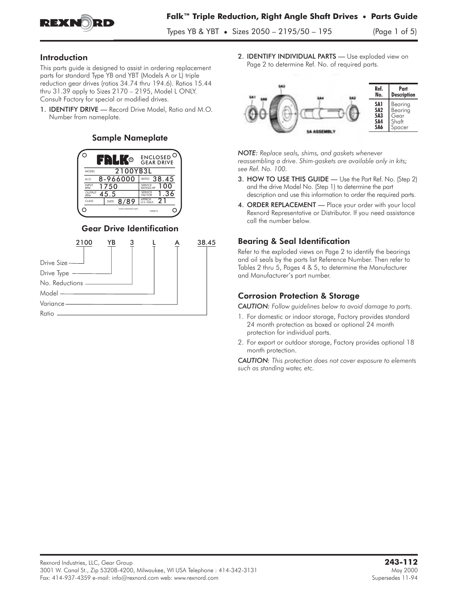

Types YB & YBT **•** Sizes 2050 – 2195/50 – 195 (Page 1 of 5)

#### Introduction

This parts guide is designed to assist in ordering replacement parts for standard Type YB and YBT (Models A or L) triple reduction gear drives (ratios 34.74 thru 194.6). Ratios 15.44 thru 31.39 apply to Sizes 2170 – 2195, Model L ONLY. Consult Factory for special or modified drives.

1. IDENTIFY DRIVE — Record Drive Model, Ratio and M.O. Number from nameplate.

#### Sample Nameplate



#### Gear Drive Identification



2. **IDENTIFY INDIVIDUAL PARTS** - Use exploded view on Page 2 to determine Ref. No. of required parts.



*NOTE: Replace seals, shims, and gaskets whenever reassembling a drive. Shim-gaskets are available only in kits; see Ref. No. 100.*

- 3. HOW TO USE THIS GUIDE Use the Part Ref. No. (Step 2) and the drive Model No. (Step 1) to determine the part description and use this information to order the required parts.
- 4. ORDER REPLACEMENT Place your order with your local Rexnord Representative or Distributor. If you need assistance call the number below.

### Bearing & Seal Identification

Refer to the exploded views on Page 2 to identify the bearings and oil seals by the parts list Reference Number. Then refer to Tables 2 thru 5, Pages 4 & 5, to determine the Manufacturer and Manufacturer's part number.

## Corrosion Protection & Storage

*CAUTION: Follow guidelines below to avoid damage to parts.*

- 1. For domestic or indoor storage, Factory provides standard 24 month protection as boxed or optional 24 month protection for individual parts.
- 2. For export or outdoor storage, Factory provides optional 18 month protection.

*CAUTION: This protection does not cover exposure to elements such as standing water, etc.*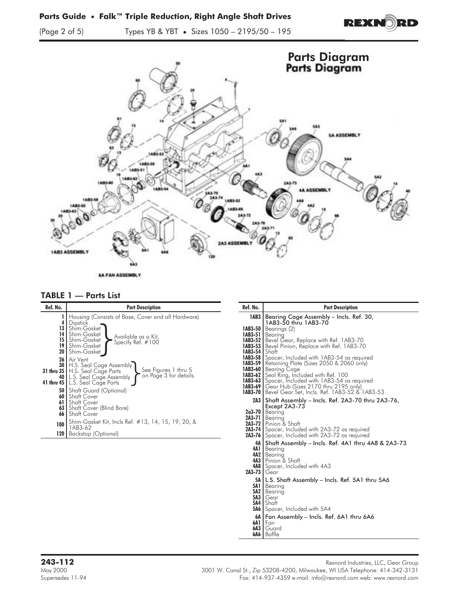**REXNORD** 

(Page 2 of 5) Types YB & YBT **•** Sizes 1050 – 2195/50 – 195



#### TABLE 1 — Parts List

| Ref. No.                    | <b>Part Description</b>                                                                                                                                                                                                                                                                                                                                                                                                                                                                                                                                                                                                                                                         | Ref. No.        | <b>Part Description</b>                                                                                                                                                                                                                                                                                                                                                                                                                                                                                                                                                                                                                                                                                                                                                                                                                                                                                                     |
|-----------------------------|---------------------------------------------------------------------------------------------------------------------------------------------------------------------------------------------------------------------------------------------------------------------------------------------------------------------------------------------------------------------------------------------------------------------------------------------------------------------------------------------------------------------------------------------------------------------------------------------------------------------------------------------------------------------------------|-----------------|-----------------------------------------------------------------------------------------------------------------------------------------------------------------------------------------------------------------------------------------------------------------------------------------------------------------------------------------------------------------------------------------------------------------------------------------------------------------------------------------------------------------------------------------------------------------------------------------------------------------------------------------------------------------------------------------------------------------------------------------------------------------------------------------------------------------------------------------------------------------------------------------------------------------------------|
| 14<br>19<br>26<br>66<br>100 | Housing (Consists of Base, Cover and all Hardware)<br>4   Dipstick<br><b>13  </b> Shim-Gasket<br><b>Shim-Gasket</b><br>Available as a Kit,<br>15   Shim-Gasket<br>Specify Ref. $#100$<br>Shim-Gasket<br>20   Shim-Gasket<br>Air Vent<br><b>30</b>   H.S. Seal Cage Assembly  <br>See Figures 1 thru 5<br>31 thru 35   H.S. Seal Cage Parts<br>on Page 3 for details.<br>40   L.S. Seal Cage Assembly<br>41 thru 45   L.S. Seal Cage Parts<br><b>50</b> Shaft Guard (Optional)<br>60   Shaft Cover<br><b>61</b> Shaft Cover<br><b>63</b> Shaft Cover (Blind Bore)<br>l Shaft Cover<br>Shim-Gasket Kit, Incls Ref. #13, 14, 15, 19, 20, &<br>1AB3-62<br>120   Backstop (Optional) | $1AB3-54$ Shaft | 1AB3   Bearing Cage Assembly - Incls. Ref. 30,<br>1AB3-50 thru 1AB3-70<br>$1AB3-50$   Bearings $(2)$<br><b>IAB3-51</b> Bearing<br><b>1AB3-52</b> Bevel Gear, Replace with Ref. 1AB3-70<br><b>1AB3-53</b>   Bevel Pinion, Replace with Ref. 1AB3-70<br><b>1AB3-58</b> Spacer, Included with 1AB3-54 as required<br><b>IAB3-59</b>   Retaining Plate (Sizes 2050 & 2060 only)<br><b>IAB3-60</b>   Bearing Cage<br><b>1AB3-62</b> Seal Ring, Included with Ref. 100<br><b>IAB3-63</b> Spacer, Included with 1AB3-54 as required<br><b>IAB3-69  </b> Gear Hub (Sizes 2170 thru 2195 only)<br><b>1AB3-70</b>   Bevel Gear Set, Incls. Ref. 1AB3-52 & 1AB3-53<br>2A3   Shaft Assembly - Incls. Ref. 2A3-70 thru 2A3-76,<br>Except 2A3-73<br>$2a3-70$   Bearing<br>2A3-71   Bearing<br><b>2A3-72</b>   Pinion & Shaft<br><b>2A3-74</b> Spacer, Included with 2A3-72 as required<br>2A3-76 Spacer, Included with 2A3-72 as required |
|                             |                                                                                                                                                                                                                                                                                                                                                                                                                                                                                                                                                                                                                                                                                 | 2A3-73   Gear   | 4A Shaft Assembly - Incls. Ref. 4A1 thru 4A8 & 2A3-73<br>4A1   Bearing<br>4A2   Bearing<br>4A3 Pinion & Shaft<br><b>4A8</b> Spacer, Included with 4A3                                                                                                                                                                                                                                                                                                                                                                                                                                                                                                                                                                                                                                                                                                                                                                       |

- 5A L.S. Shaft Assembly Incls. Ref. 5A1 thru 5A6 5A1 Bearing 5A2 Bearing 5A3 Gear 5A4 Shaft 5A6 Spacer, Included with 5A4
- 
- 
- 
- 
- 6A Fan Assembly Incls. Ref. 6A1 thru 6A6 6A1 Fan 6A3 Guard
- 
- 6A6 | Baffle

**243-112** Rexnord Industries, LLC, Gear Group<br>May 2000 May 2000 May 2000 May 2000 May 2000 May 2000 May 2000 May 2000 May 2000 May 2000 May 2000 May 2000 Ma May 2000 3001 W. Canal St., Zip 53208-4200, Milwaukee, WI USA Telephone: 414-342-3131<br>Fax: 414-937-4359 e-mail: info@rexnord.com web: www.rexnord.com Fax: 414-937-4359 e-mail: info@rexnord.com web: www.rexnord.com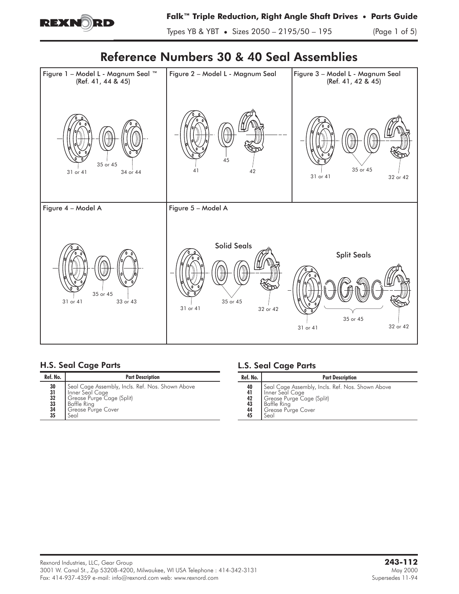

Types YB & YBT **•** Sizes 2050 – 2195/50 – 195 (Page 1 of 5)

# Reference Numbers 30 & 40 Seal Assemblies



# H.S. Seal Cage Parts

| Ref. No.                                                                                       | <b>Part Description</b>                                                                                                                       |  |  |  |  |
|------------------------------------------------------------------------------------------------|-----------------------------------------------------------------------------------------------------------------------------------------------|--|--|--|--|
| 30<br>$\begin{array}{c} 31 \\ 32 \end{array}$<br>$\begin{array}{c} 33 \\ 34 \end{array}$<br>35 | Seal Cage Assembly, Incls. Ref. Nos. Shown Above<br>Inner Seal Cage<br>Grease Purge Cage (Split)<br>Baffle Ring<br>Grease Purge Cover<br>Seal |  |  |  |  |

# L.S. Seal Cage Parts

| Ref. No.                                | <b>Part Description</b>                                                                                                                              |  |  |  |  |
|-----------------------------------------|------------------------------------------------------------------------------------------------------------------------------------------------------|--|--|--|--|
| 40<br>41<br>$\frac{42}{43}$<br>44<br>45 | Seal Cage Assembly, Incls. Ref. Nos. Shown Above<br>Inner Seal Cage<br>Grease Purge Cage (Split)<br><b>Baffle Ring</b><br>Grease Purge Cover<br>Seal |  |  |  |  |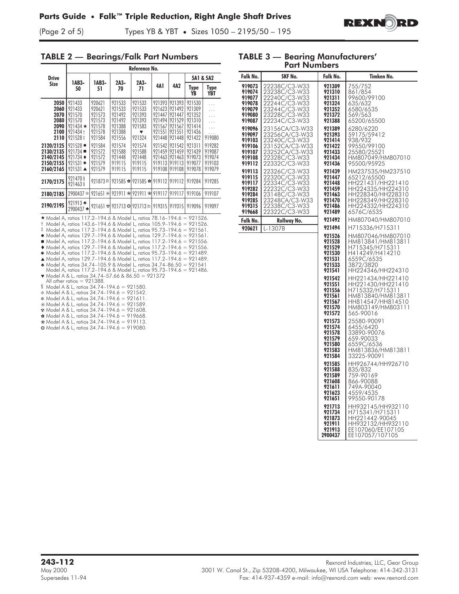

(Page 2 of 5) Types YB & YBT **•** Sizes 1050 – 2195/50 – 195

#### TABLE 2 — Bearings/Falk Part Numbers

|                                                                                                                                                                                                                                                                                                                                                                                                                                                                                                                                                                                                                                                                                                                                                                                                                                                                                                                                                                                                                                                                                                                                                      | Reference No.                                                                                                                                                          |                                                                                                                      |                                                                                                                      |                                                                                                                 |                                                                                                                      |                                                                                                                      |                                                                                                                      |                                                                                                             |
|------------------------------------------------------------------------------------------------------------------------------------------------------------------------------------------------------------------------------------------------------------------------------------------------------------------------------------------------------------------------------------------------------------------------------------------------------------------------------------------------------------------------------------------------------------------------------------------------------------------------------------------------------------------------------------------------------------------------------------------------------------------------------------------------------------------------------------------------------------------------------------------------------------------------------------------------------------------------------------------------------------------------------------------------------------------------------------------------------------------------------------------------------|------------------------------------------------------------------------------------------------------------------------------------------------------------------------|----------------------------------------------------------------------------------------------------------------------|----------------------------------------------------------------------------------------------------------------------|-----------------------------------------------------------------------------------------------------------------|----------------------------------------------------------------------------------------------------------------------|----------------------------------------------------------------------------------------------------------------------|----------------------------------------------------------------------------------------------------------------------|-------------------------------------------------------------------------------------------------------------|
| <b>Drive</b>                                                                                                                                                                                                                                                                                                                                                                                                                                                                                                                                                                                                                                                                                                                                                                                                                                                                                                                                                                                                                                                                                                                                         | 1AB3-<br>1AB3-                                                                                                                                                         |                                                                                                                      | $2A3-$                                                                                                               |                                                                                                                 |                                                                                                                      |                                                                                                                      | 5A1 & 5A2                                                                                                            |                                                                                                             |
| Size                                                                                                                                                                                                                                                                                                                                                                                                                                                                                                                                                                                                                                                                                                                                                                                                                                                                                                                                                                                                                                                                                                                                                 | 50                                                                                                                                                                     | 51                                                                                                                   | 70                                                                                                                   | 2A3-<br>4A 1<br>71                                                                                              |                                                                                                                      | 4A2                                                                                                                  | Type<br>YB                                                                                                           | <b>Type</b><br>YBT                                                                                          |
| 2050<br>2060<br>2070<br>2080<br>2090<br>2100<br>2110<br>2120/2125<br>2130/2135<br>2140/2145<br>2150/2155<br>2160/2165                                                                                                                                                                                                                                                                                                                                                                                                                                                                                                                                                                                                                                                                                                                                                                                                                                                                                                                                                                                                                                | 921433<br>921433<br>921570<br>921570<br>$921434 \star$<br>921434 +<br>921528 ‡<br>$921528 \bullet$<br>921734 ■<br>$921734 \bullet$<br>921531 $*$<br>$921531 \triangle$ | 920621<br>920621<br>921573<br>921573<br>921578<br>921578<br>921584<br>921584<br>921572<br>921572<br>921579<br>921579 | 921533<br>921533<br>921492<br>921492<br>921388<br>921388<br>921556<br>921574<br>921588<br>921448<br>919115<br>919115 | 921533<br>921533<br>921393<br>921393<br>921583<br>♥<br>921324<br>921574<br>921588<br>921448<br>919115<br>919115 | 921393<br>921623<br>921447<br>921494<br>921567<br>921551<br>921448<br>921542<br>921459<br>921463<br>919113<br>919108 | 921393<br>921492<br>921447<br>921529<br>921567<br>921551<br>921448<br>921542<br>921459<br>921463<br>919113<br>919108 | 921530<br>921309<br>921352<br>921310<br>921414<br>921436<br>921422<br>921311<br>921439<br>919073<br>919077<br>919078 | $\cdots$<br>.<br>.<br>$\cdots$<br>.<br>$\cdots$<br>919080<br>919282<br>919087<br>919074<br>919103<br>919079 |
| 2170/2175                                                                                                                                                                                                                                                                                                                                                                                                                                                                                                                                                                                                                                                                                                                                                                                                                                                                                                                                                                                                                                                                                                                                            | 921470 §<br>921463 §                                                                                                                                                   | 921873R                                                                                                              |                                                                                                                      | $921585$ $\approx$ 921585 $\approx$ 919112 919112                                                               |                                                                                                                      |                                                                                                                      | 919284                                                                                                               | 919285                                                                                                      |
| 2180/2185                                                                                                                                                                                                                                                                                                                                                                                                                                                                                                                                                                                                                                                                                                                                                                                                                                                                                                                                                                                                                                                                                                                                            | 2900437 *                                                                                                                                                              | $921651*$                                                                                                            |                                                                                                                      | $921911$ $\otimes$ 921911 $\otimes$ 919117                                                                      |                                                                                                                      | 919117                                                                                                               | 919106                                                                                                               | 919107                                                                                                      |
| 2190/2195                                                                                                                                                                                                                                                                                                                                                                                                                                                                                                                                                                                                                                                                                                                                                                                                                                                                                                                                                                                                                                                                                                                                            | 921913 $\triangleq$<br>2900437 <del>±</del>                                                                                                                            |                                                                                                                      |                                                                                                                      | $921651$ $\cdot$ $921713$ $\cdot$ $921713$ b $919315$ $919315$                                                  |                                                                                                                      |                                                                                                                      | 919096                                                                                                               | 919097                                                                                                      |
| * Model A, ratios 117.2-194.6 & Model L, ratios 78.16-194.6 = 921526.<br>$\dagger$ Model A, ratios 143.6–194.6 & Model L, ratios 105.9–194.6 = 921526.<br>‡ Model A, ratios 117.2–194.6 & Model L, ratios 95.73–194.6 = 921561.<br>• Model A, ratios 129.7–194.6 & Model L, ratios 129.7–194.6 = 921561.<br>Model A, ratios 117.2-194.6 & Model L, ratios 117.2-194.6 = 921556.<br>◆ Model A, ratios 129.7-194.6 & Model L, ratios 117.2-194.6 = 921556.<br>* Model A, ratios 117.2–194.6 & Model L, ratios 95.73–194.6 = 921489.<br>▲ Model A, ratios 129.7-194.6 & Model L, ratios 117.2-194.6 = 921489.<br>★ Model A, ratios 34.74-105.9 & Model L, ratios 34.74-86.50 = 921541<br>• Model A & L, ratios 34.74–57.66 & 86.50 = 921372<br>§ Model A & L, ratios $34.74-194.6 = 921580$ .<br>* Model A & L, ratios 34.74-194.6 = 921542.<br>* Model A & L, ratios 34.74-194.6 = 921611.<br>* Model A & L, ratios 34.74-194.6 = 921589.<br>$*$ Model A & L, ratios 34.74-194.6 = 921608.<br>$\bullet$ Model A & L, ratios 34.74-194.6 = 919668.<br>⊛ Model A & L, ratios 34.74-194.6 = 919113.<br><b>©</b> Model A & L, ratios 34.74-194.6 = 919080. | Model A, ratios 117.2-194.6 & Model L, ratios 95.73-194.6 = 921486.<br>All other ratios $= 921388$ .                                                                   |                                                                                                                      |                                                                                                                      |                                                                                                                 |                                                                                                                      |                                                                                                                      |                                                                                                                      |                                                                                                             |

| <b>Part Numbers</b>                                                          |                                                                                                                                       |                                                                                                                                                                                            |                                                                                                                                                                                                                                                                                                                                             |  |  |  |  |
|------------------------------------------------------------------------------|---------------------------------------------------------------------------------------------------------------------------------------|--------------------------------------------------------------------------------------------------------------------------------------------------------------------------------------------|---------------------------------------------------------------------------------------------------------------------------------------------------------------------------------------------------------------------------------------------------------------------------------------------------------------------------------------------|--|--|--|--|
| Falk No.                                                                     | SKF No.                                                                                                                               | Falk No.                                                                                                                                                                                   | Timken No.                                                                                                                                                                                                                                                                                                                                  |  |  |  |  |
| 919073<br>919074<br>919077<br>919078<br>919079<br>919080<br>919087           | 22238C/C3-W33<br>23238C/C3-W33<br>22240C/C3-W33<br>22244C/C3-W33<br>23244C/C3-W33<br>23228C/C3-W33<br>22234C/C3-W33                   | 921309<br>921310<br>921311<br>921324<br>921352<br>921372<br>921388                                                                                                                         | 755/752<br>861/854<br>99600/99100<br>635/632<br>6580/6535<br>569/563<br>65200/65500                                                                                                                                                                                                                                                         |  |  |  |  |
| 919096<br>919097<br>919103<br>919106<br>919107<br>919108<br>919112           | 23156CA/C3-W33<br>23256CA/C3-W33<br>23240C/C3-W33<br>23152CA/C3-W33<br>23252CA/C3-W33<br>22328C/C3-W33<br>22332C/C3-W33               | 921389<br>921393<br>921414<br>921422<br>921433<br>921434<br>921436                                                                                                                         | 6280/6220<br>59175/59412<br>938/932<br>99550/99100<br>25580/25521<br>HM807049/HM807010<br>95500/95925                                                                                                                                                                                                                                       |  |  |  |  |
| 919113<br>919115<br>919117<br>919282<br>919284<br>919285<br>919315<br>919668 | 22326C/C3-W33<br>22320C/C3-W33<br>22334C/C3-W33<br>22232C/C3-W33<br>23148C/C3-W33<br>23248CA/C3-W33<br>22338C/C3-W33<br>22322C/C3-W33 | 921439<br>921447<br>921448<br>921459<br>921463<br>921470<br>921486<br>921489                                                                                                               | HM237535/HM237510<br>65212/65500<br>HH221431/HH221410<br>HH224335/HH224310<br>HH228340/HH228310<br>HH228349/HH228310<br>HH224332/HH224310<br>6576C/6535                                                                                                                                                                                     |  |  |  |  |
| Falk No.                                                                     | Rollway No.                                                                                                                           | 921492<br>921494                                                                                                                                                                           | HM807040/HM807010<br>H715336/H715311                                                                                                                                                                                                                                                                                                        |  |  |  |  |
|                                                                              | L-1307B                                                                                                                               | 921526<br>921528<br>921529<br>921530<br>921531<br>921533<br>921541<br>921542<br>921551<br>921556<br>921561<br>921567<br>921570<br>921572<br>921573<br>921574<br>921578<br>921579<br>921580 | HM807046/HM807010<br>HM813841/HM813811<br>H715345/H715311<br>H414249/H414210<br>6559C/6535<br>3872/3820<br>HH224346/HH224310<br>HH221434/HH221410<br>HH221430/HH221410<br>H715332/H715311<br>HM813840/HM813811<br>HH814547/HH814510<br>HM803149/HM803111<br>565-90016<br>25580-90091<br>6455/6420<br>33890-90076<br>659-90033<br>6559C/6536 |  |  |  |  |
|                                                                              |                                                                                                                                       | 921583<br>921584<br>921585<br>921588<br>921589<br>921608<br>921611<br>921623<br>921651<br>921713<br>921734<br>921873<br>921911<br>921913<br>2900437                                        | HM813836/HM813811<br>33225-90091<br>HH926744/HH926710<br>835/832<br>759-90169<br>866-90088<br>749A-90040<br>4559/4535<br>99550-90178<br>HH932145/HH932110<br>H715341/H715311<br>HH221442-90045<br>HH932132/HH932110<br>EE107060/EE107105<br>EE107057/107105                                                                                 |  |  |  |  |

TABLE 3 — Bearing Manufacturers'

Falk No.

Falk No.